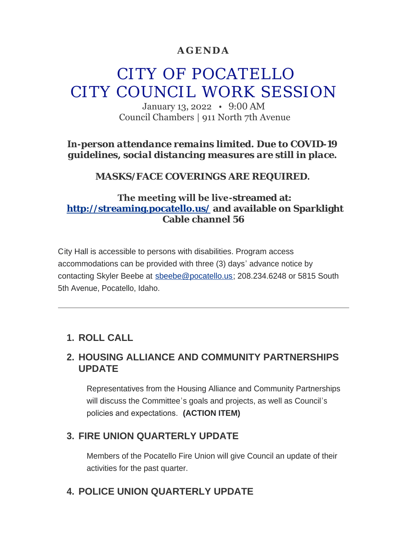#### **AGENDA**

# CITY OF POCATELLO CITY COUNCIL WORK SESSION

January 13, 2022 • 9:00 AM Council Chambers | 911 North 7th Avenue

*In-person attendance remains limited. Due to COVID-19 guidelines, social distancing measures are still in place.*

*MASKS/FACE COVERINGS ARE REQUIRED.*

#### **The meeting will be live-streamed at: <http://streaming.pocatello.us/> and available on Sparklight Cable channel 56**

City Hall is accessible to persons with disabilities. Program access accommodations can be provided with three (3) days' advance notice by contacting Skyler Beebe at [sbeebe@pocatello.us;](mailto:sbeebe@pocatello.us) 208.234.6248 or 5815 South 5th Avenue, Pocatello, Idaho.

## **ROLL CALL 1.**

#### **HOUSING ALLIANCE AND COMMUNITY PARTNERSHIPS 2. UPDATE**

Representatives from the Housing Alliance and Community Partnerships will discuss the Committee's goals and projects, as well as Council's policies and expectations. **(ACTION ITEM)**

## **FIRE UNION QUARTERLY UPDATE 3.**

Members of the Pocatello Fire Union will give Council an update of their activities for the past quarter.

#### **POLICE UNION QUARTERLY UPDATE 4.**